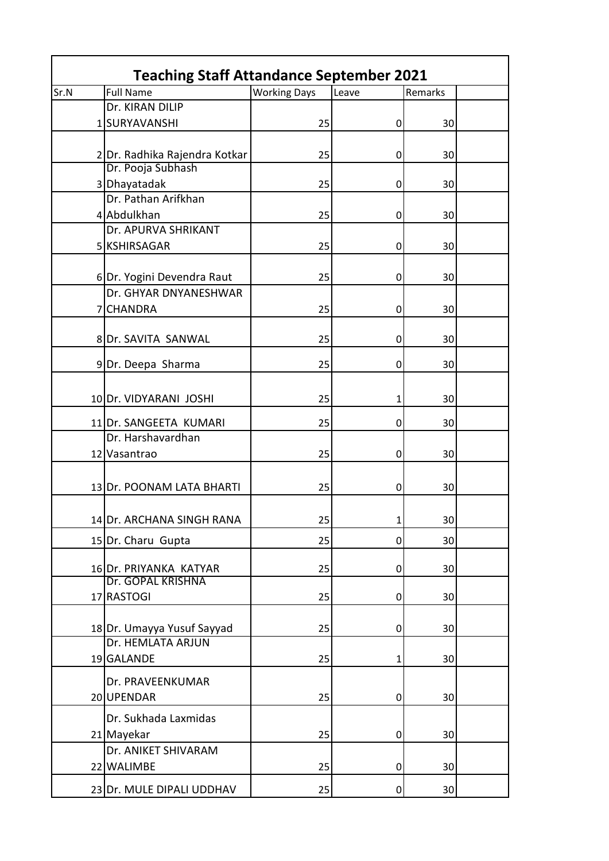| <b>Teaching Staff Attandance September 2021</b> |                                            |                     |       |         |  |  |
|-------------------------------------------------|--------------------------------------------|---------------------|-------|---------|--|--|
| Sr.N                                            | <b>Full Name</b>                           | <b>Working Days</b> | Leave | Remarks |  |  |
|                                                 | Dr. KIRAN DILIP                            |                     |       |         |  |  |
|                                                 | 1SURYAVANSHI                               | 25                  | 0     | 30      |  |  |
|                                                 |                                            |                     |       |         |  |  |
|                                                 | 2Dr. Radhika Rajendra Kotkar               | 25                  | 0     | 30      |  |  |
|                                                 | Dr. Pooja Subhash                          |                     |       |         |  |  |
|                                                 | 3 Dhayatadak                               | 25                  | 0     | 30      |  |  |
|                                                 | Dr. Pathan Arifkhan                        |                     |       |         |  |  |
|                                                 | 4 Abdulkhan                                | 25                  | 0     | 30      |  |  |
|                                                 | Dr. APURVA SHRIKANT                        |                     |       |         |  |  |
|                                                 | 5 KSHIRSAGAR                               | 25                  | 0     | 30      |  |  |
|                                                 |                                            |                     |       |         |  |  |
|                                                 | 6Dr. Yogini Devendra Raut                  | 25                  | 0     | 30      |  |  |
|                                                 | Dr. GHYAR DNYANESHWAR                      |                     |       |         |  |  |
|                                                 | <b>CHANDRA</b>                             | 25                  | 0     | 30      |  |  |
|                                                 |                                            |                     |       |         |  |  |
|                                                 | 8 Dr. SAVITA SANWAL                        | 25                  | 0     | 30      |  |  |
|                                                 |                                            |                     |       |         |  |  |
|                                                 | 9Dr. Deepa Sharma                          | 25                  | 0     | 30      |  |  |
|                                                 |                                            |                     |       |         |  |  |
|                                                 | 10 Dr. VIDYARANI JOSHI                     | 25                  | 1     | 30      |  |  |
|                                                 | 11 Dr. SANGEETA KUMARI                     | 25                  | 0     | 30      |  |  |
|                                                 | Dr. Harshavardhan                          |                     |       |         |  |  |
|                                                 | 12 Vasantrao                               | 25                  | 0     | 30      |  |  |
|                                                 |                                            |                     |       |         |  |  |
|                                                 | 13 Dr. POONAM LATA BHARTI                  | 25                  | 0     | 30      |  |  |
|                                                 |                                            |                     |       |         |  |  |
|                                                 | 14 Dr. ARCHANA SINGH RANA                  | 25                  |       |         |  |  |
|                                                 |                                            |                     | 1     | 30      |  |  |
|                                                 | 15 Dr. Charu Gupta                         | 25                  | 0     | 30      |  |  |
|                                                 |                                            |                     |       |         |  |  |
|                                                 | 16Dr. PRIYANKA KATYAR<br>Dr. GOPAL KRISHNA | 25                  | 0     | 30      |  |  |
|                                                 | 17 RASTOGI                                 | 25                  | 0     | 30      |  |  |
|                                                 |                                            |                     |       |         |  |  |
|                                                 | 18Dr. Umayya Yusuf Sayyad                  | 25                  | 0     | 30      |  |  |
|                                                 | Dr. HEMLATA ARJUN                          |                     |       |         |  |  |
|                                                 | 19 GALANDE                                 | 25                  | 1     | 30      |  |  |
|                                                 |                                            |                     |       |         |  |  |
|                                                 | Dr. PRAVEENKUMAR                           |                     |       |         |  |  |
|                                                 | 20 UPENDAR                                 | 25                  | 0     | 30      |  |  |
|                                                 | Dr. Sukhada Laxmidas                       |                     |       |         |  |  |
|                                                 | 21 Mayekar                                 | 25                  | 0     | 30      |  |  |
|                                                 | Dr. ANIKET SHIVARAM                        |                     |       |         |  |  |
|                                                 | 22 WALIMBE                                 | 25                  | 0     | 30      |  |  |
|                                                 |                                            |                     |       |         |  |  |
|                                                 | 23 Dr. MULE DIPALI UDDHAV                  | 25                  | 0     | 30      |  |  |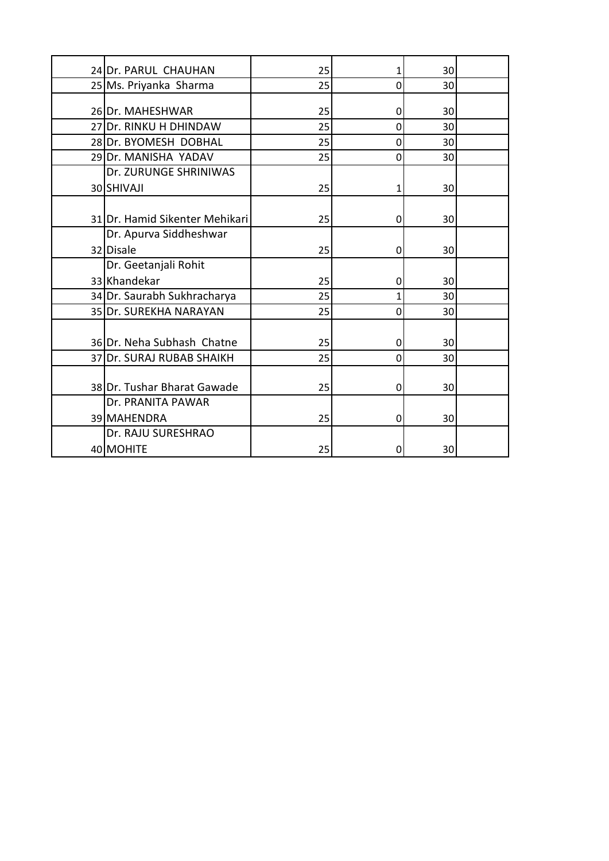| 24 Dr. PARUL CHAUHAN           | 25 | 1 | 30              |  |
|--------------------------------|----|---|-----------------|--|
| 25 Ms. Priyanka Sharma         | 25 | 0 | 30              |  |
|                                |    |   |                 |  |
| 26 Dr. MAHESHWAR               | 25 | 0 | 30              |  |
| 27 Dr. RINKU H DHINDAW         | 25 | 0 | 30              |  |
| 28 Dr. BYOMESH DOBHAL          | 25 | 0 | 30              |  |
| 29 Dr. MANISHA YADAV           | 25 | 0 | 30              |  |
| Dr. ZURUNGE SHRINIWAS          |    |   |                 |  |
| 30 SHIVAJI                     | 25 | 1 | 30 <sup>1</sup> |  |
|                                |    |   |                 |  |
| 31 Dr. Hamid Sikenter Mehikari | 25 | 0 | 30 <sup>2</sup> |  |
| Dr. Apurva Siddheshwar         |    |   |                 |  |
| 32 Disale                      | 25 | 0 | 30              |  |
| Dr. Geetanjali Rohit           |    |   |                 |  |
| 33 Khandekar                   | 25 | 0 | 30              |  |
| 34 Dr. Saurabh Sukhracharya    | 25 | 1 | 30              |  |
| 35 Dr. SUREKHA NARAYAN         | 25 | 0 | 30 <sup>2</sup> |  |
|                                |    |   |                 |  |
| 36 Dr. Neha Subhash Chatne     | 25 | 0 | 30              |  |
| 37 Dr. SURAJ RUBAB SHAIKH      | 25 | 0 | 30              |  |
|                                |    |   |                 |  |
| 38 Dr. Tushar Bharat Gawade    | 25 | 0 | 30              |  |
| Dr. PRANITA PAWAR              |    |   |                 |  |
| 39 MAHENDRA                    | 25 | 0 | 30              |  |
| Dr. RAJU SURESHRAO             |    |   |                 |  |
| 40 MOHITE                      | 25 | 0 | 30              |  |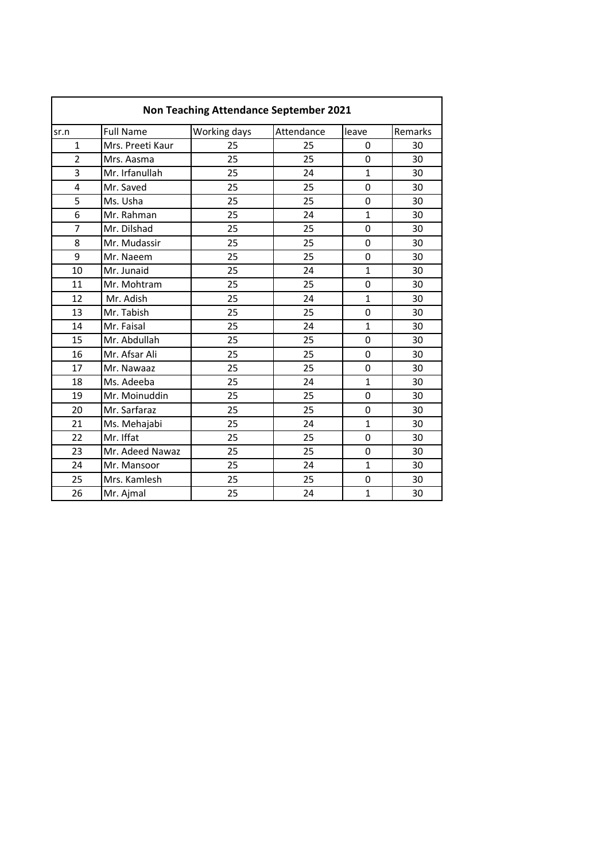| Non Teaching Attendance September 2021 |                  |              |            |              |         |  |
|----------------------------------------|------------------|--------------|------------|--------------|---------|--|
| sr.n                                   | <b>Full Name</b> | Working days | Attendance | leave        | Remarks |  |
| $\mathbf{1}$                           | Mrs. Preeti Kaur | 25           | 25         | 0            | 30      |  |
| $\overline{2}$                         | Mrs. Aasma       | 25           | 25         | 0            | 30      |  |
| 3                                      | Mr. Irfanullah   | 25           | 24         | $\mathbf{1}$ | 30      |  |
| $\overline{a}$                         | Mr. Saved        | 25           | 25         | $\Omega$     | 30      |  |
| 5                                      | Ms. Usha         | 25           | 25         | $\Omega$     | 30      |  |
| 6                                      | Mr. Rahman       | 25           | 24         | $\mathbf{1}$ | 30      |  |
| $\overline{7}$                         | Mr. Dilshad      | 25           | 25         | $\Omega$     | 30      |  |
| 8                                      | Mr. Mudassir     | 25           | 25         | 0            | 30      |  |
| 9                                      | Mr. Naeem        | 25           | 25         | 0            | 30      |  |
| 10                                     | Mr. Junaid       | 25           | 24         | 1            | 30      |  |
| 11                                     | Mr. Mohtram      | 25           | 25         | 0            | 30      |  |
| 12                                     | Mr. Adish        | 25           | 24         | $\mathbf{1}$ | 30      |  |
| 13                                     | Mr. Tabish       | 25           | 25         | 0            | 30      |  |
| 14                                     | Mr. Faisal       | 25           | 24         | $\mathbf{1}$ | 30      |  |
| 15                                     | Mr. Abdullah     | 25           | 25         | $\mathbf 0$  | 30      |  |
| 16                                     | Mr. Afsar Ali    | 25           | 25         | 0            | 30      |  |
| 17                                     | Mr. Nawaaz       | 25           | 25         | $\mathbf 0$  | 30      |  |
| 18                                     | Ms. Adeeba       | 25           | 24         | $\mathbf{1}$ | 30      |  |
| 19                                     | Mr. Moinuddin    | 25           | 25         | $\Omega$     | 30      |  |
| 20                                     | Mr. Sarfaraz     | 25           | 25         | 0            | 30      |  |
| 21                                     | Ms. Mehajabi     | 25           | 24         | $\mathbf 1$  | 30      |  |
| 22                                     | Mr. Iffat        | 25           | 25         | $\Omega$     | 30      |  |
| 23                                     | Mr. Adeed Nawaz  | 25           | 25         | 0            | 30      |  |
| 24                                     | Mr. Mansoor      | 25           | 24         | $\mathbf{1}$ | 30      |  |
| 25                                     | Mrs. Kamlesh     | 25           | 25         | 0            | 30      |  |
| 26                                     | Mr. Ajmal        | 25           | 24         | 1            | 30      |  |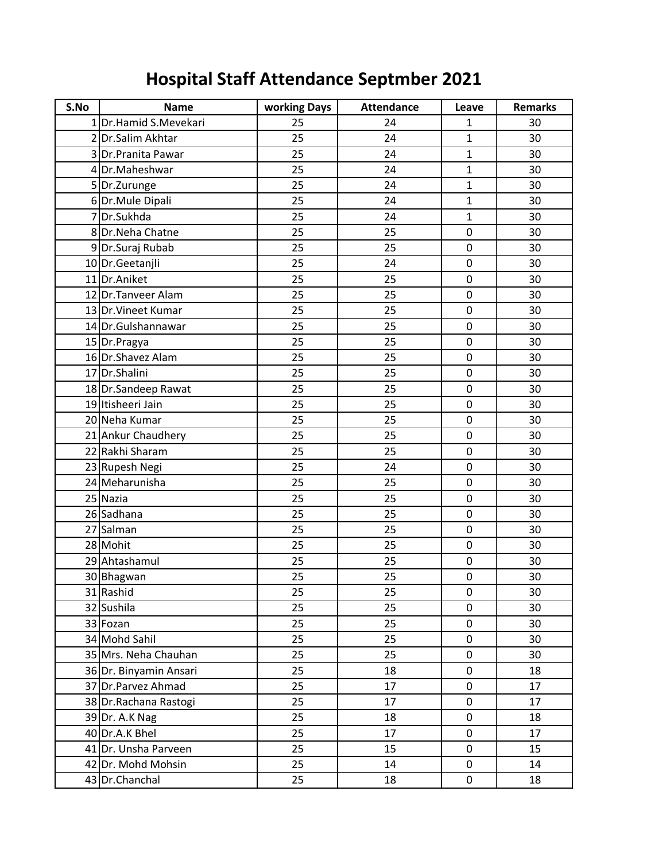## **Hospital Staff Attendance Septmber 2021**

| S.No | <b>Name</b>             | working Days | <b>Attendance</b> | Leave        | <b>Remarks</b> |
|------|-------------------------|--------------|-------------------|--------------|----------------|
|      | 1 Dr. Hamid S. Mevekari | 25           | 24                | $\mathbf{1}$ | 30             |
|      | 2 Dr. Salim Akhtar      | 25           | 24                | $\mathbf{1}$ | 30             |
|      | 3 Dr. Pranita Pawar     | 25           | 24                | $\mathbf{1}$ | 30             |
|      | 4Dr.Maheshwar           | 25           | 24                | $\mathbf{1}$ | 30             |
|      | 5 Dr. Zurunge           | 25           | 24                | $\mathbf{1}$ | 30             |
|      | 6Dr.Mule Dipali         | 25           | 24                | $\mathbf{1}$ | 30             |
|      | 7Dr.Sukhda              | 25           | 24                | $\mathbf{1}$ | 30             |
|      | 8Dr.Neha Chatne         | 25           | 25                | 0            | 30             |
|      | 9Dr.Suraj Rubab         | 25           | 25                | 0            | 30             |
|      | 10 Dr.Geetanjli         | 25           | 24                | 0            | 30             |
|      | 11 Dr.Aniket            | 25           | 25                | 0            | 30             |
|      | 12 Dr. Tanveer Alam     | 25           | 25                | $\pmb{0}$    | 30             |
|      | 13 Dr. Vineet Kumar     | 25           | 25                | 0            | 30             |
|      | 14 Dr. Gulshannawar     | 25           | 25                | $\mathbf 0$  | 30             |
|      | 15 Dr. Pragya           | 25           | 25                | 0            | 30             |
|      | 16 Dr. Shavez Alam      | 25           | 25                | 0            | 30             |
|      | 17 Dr. Shalini          | 25           | 25                | $\pmb{0}$    | 30             |
|      | 18 Dr.Sandeep Rawat     | 25           | 25                | 0            | 30             |
|      | 19 Itisheeri Jain       | 25           | 25                | 0            | 30             |
|      | 20 Neha Kumar           | 25           | 25                | 0            | 30             |
|      | 21 Ankur Chaudhery      | 25           | 25                | 0            | 30             |
|      | 22 Rakhi Sharam         | 25           | 25                | 0            | 30             |
|      | 23 Rupesh Negi          | 25           | 24                | $\mathbf 0$  | 30             |
|      | 24 Meharunisha          | 25           | 25                | 0            | 30             |
|      | 25 Nazia                | 25           | 25                | 0            | 30             |
|      | 26 Sadhana              | 25           | 25                | 0            | 30             |
|      | 27 Salman               | 25           | 25                | $\pmb{0}$    | 30             |
|      | 28 Mohit                | 25           | 25                | 0            | 30             |
|      | 29 Ahtashamul           | 25           | 25                | 0            | 30             |
|      | 30 Bhagwan              | 25           | 25                | $\pmb{0}$    | 30             |
|      | 31 Rashid               | 25           | 25                | 0            | 30             |
|      | 32 Sushila              | 25           | 25                | 0            | 30             |
|      | 33 Fozan                | 25           | 25                | $\pmb{0}$    | 30             |
|      | 34 Mohd Sahil           | 25           | 25                | 0            | 30             |
|      | 35 Mrs. Neha Chauhan    | 25           | 25                | 0            | 30             |
|      | 36 Dr. Binyamin Ansari  | 25           | 18                | 0            | 18             |
|      | 37 Dr. Parvez Ahmad     | 25           | 17                | 0            | 17             |
|      | 38 Dr. Rachana Rastogi  | 25           | 17                | $\pmb{0}$    | 17             |
|      | 39 Dr. A.K Nag          | 25           | 18                | 0            | 18             |
|      | 40 Dr.A.K Bhel          | 25           | 17                | 0            | 17             |
|      | 41 Dr. Unsha Parveen    | 25           | 15                | 0            | 15             |
|      | 42 Dr. Mohd Mohsin      | 25           | 14                | 0            | 14             |
|      | 43 Dr.Chanchal          | 25           | 18                | $\pmb{0}$    | 18             |